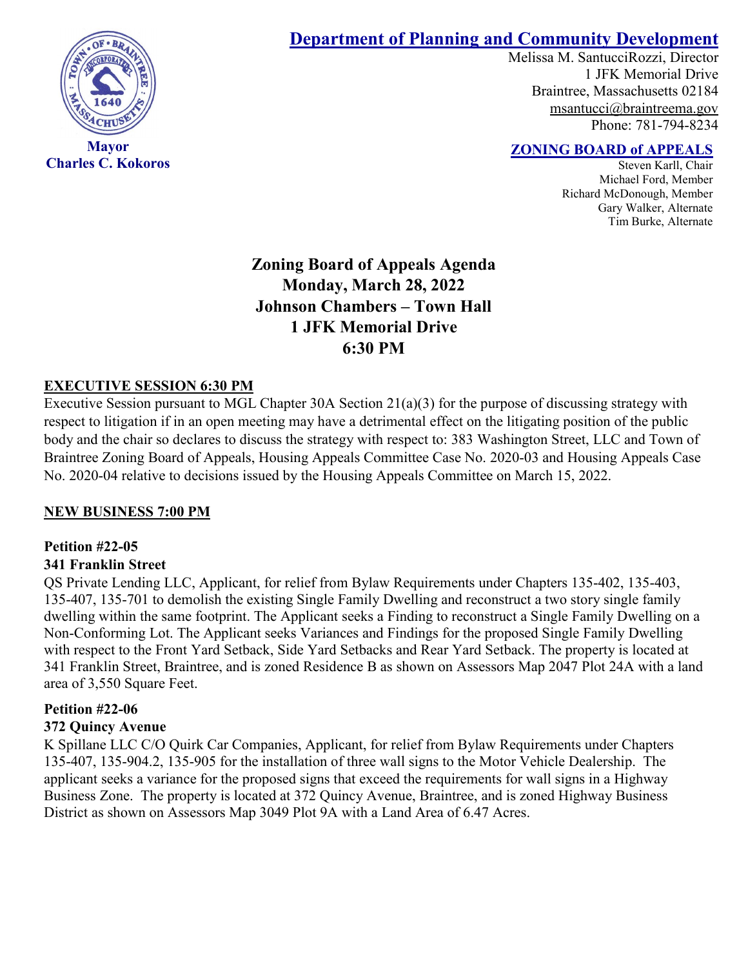

**Charles C. Kokoros**

# **Department of Planning and Community Development**

Melissa M. SantucciRozzi, Director 1 JFK Memorial Drive Braintree, Massachusetts 02184 [msantucci@braintreema.gov](mailto:msantucci@braintreema.gov) Phone: 781-794-8234

## **ZONING BOARD of APPEALS**

Steven Karll, Chair Michael Ford, Member Richard McDonough, Member Gary Walker, Alternate Tim Burke, Alternate

**Zoning Board of Appeals Agenda Monday, March 28, 2022 Johnson Chambers – Town Hall 1 JFK Memorial Drive 6:30 PM**

### **EXECUTIVE SESSION 6:30 PM**

Executive Session pursuant to MGL Chapter 30A Section 21(a)(3) for the purpose of discussing strategy with respect to litigation if in an open meeting may have a detrimental effect on the litigating position of the public body and the chair so declares to discuss the strategy with respect to: 383 Washington Street, LLC and Town of Braintree Zoning Board of Appeals, Housing Appeals Committee Case No. 2020-03 and Housing Appeals Case No. 2020-04 relative to decisions issued by the Housing Appeals Committee on March 15, 2022.

#### **NEW BUSINESS 7:00 PM**

### **Petition #22-05**

#### **341 Franklin Street**

QS Private Lending LLC, Applicant, for relief from Bylaw Requirements under Chapters 135-402, 135-403, 135-407, 135-701 to demolish the existing Single Family Dwelling and reconstruct a two story single family dwelling within the same footprint. The Applicant seeks a Finding to reconstruct a Single Family Dwelling on a Non-Conforming Lot. The Applicant seeks Variances and Findings for the proposed Single Family Dwelling with respect to the Front Yard Setback, Side Yard Setbacks and Rear Yard Setback. The property is located at 341 Franklin Street, Braintree, and is zoned Residence B as shown on Assessors Map 2047 Plot 24A with a land area of 3,550 Square Feet.

#### **Petition #22-06**

#### **372 Quincy Avenue**

K Spillane LLC C/O Quirk Car Companies, Applicant, for relief from Bylaw Requirements under Chapters 135-407, 135-904.2, 135-905 for the installation of three wall signs to the Motor Vehicle Dealership. The applicant seeks a variance for the proposed signs that exceed the requirements for wall signs in a Highway Business Zone. The property is located at 372 Quincy Avenue, Braintree, and is zoned Highway Business District as shown on Assessors Map 3049 Plot 9A with a Land Area of 6.47 Acres.